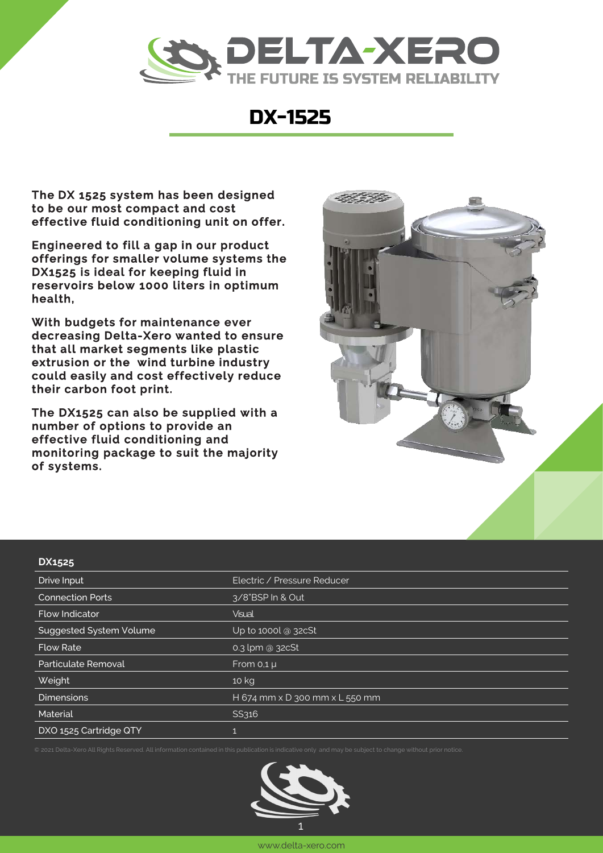

## DX1525

The DX1525 system has been designed to be our most compact and cost effective fluid conditioning unit on offer.

Engineered to fill a gap in our product offerings for smaller volume systems the DX1525 is ideal for keeping fluid in reservoirs below 1000 liters in optimum health,

With budgets for maintenance ever decreasing Delta-Xero wanted to ensure that all market segments like plastic extrusion or the wind turbine industry could easily and cost effectively reduce their carbon foot print.

The DX1525 can also be supplied with a number of options to provide an effective fluid conditioning and monitoring package to suit the majority of systems.

These units come both floor and wall mountable.



## **DX1525**

| כבטברכ                         |                                              |
|--------------------------------|----------------------------------------------|
| Drive Input                    | <b>Electric</b>                              |
| <b>Connection Ports</b>        | 3/8"BSP In & Out                             |
| <b>Flow Indicator</b>          | <b>Visual</b>                                |
| <b>Suggested System Volume</b> | Up to 1000 $\alpha$ 32cSt                    |
| <b>Flow Rate</b>               | 0.5 lpm @ 32cSt                              |
| Particulate Removal            | From $0,1 \mu$                               |
| Weight                         | 11 kg                                        |
| <b>Dimensions</b>              | H 674 mm $\times$ D 300 mm $\times$ L 550 mm |
| Material                       | SS304, 316 and Aluminum                      |
| DXO-1525 Cartridge QTY         |                                              |